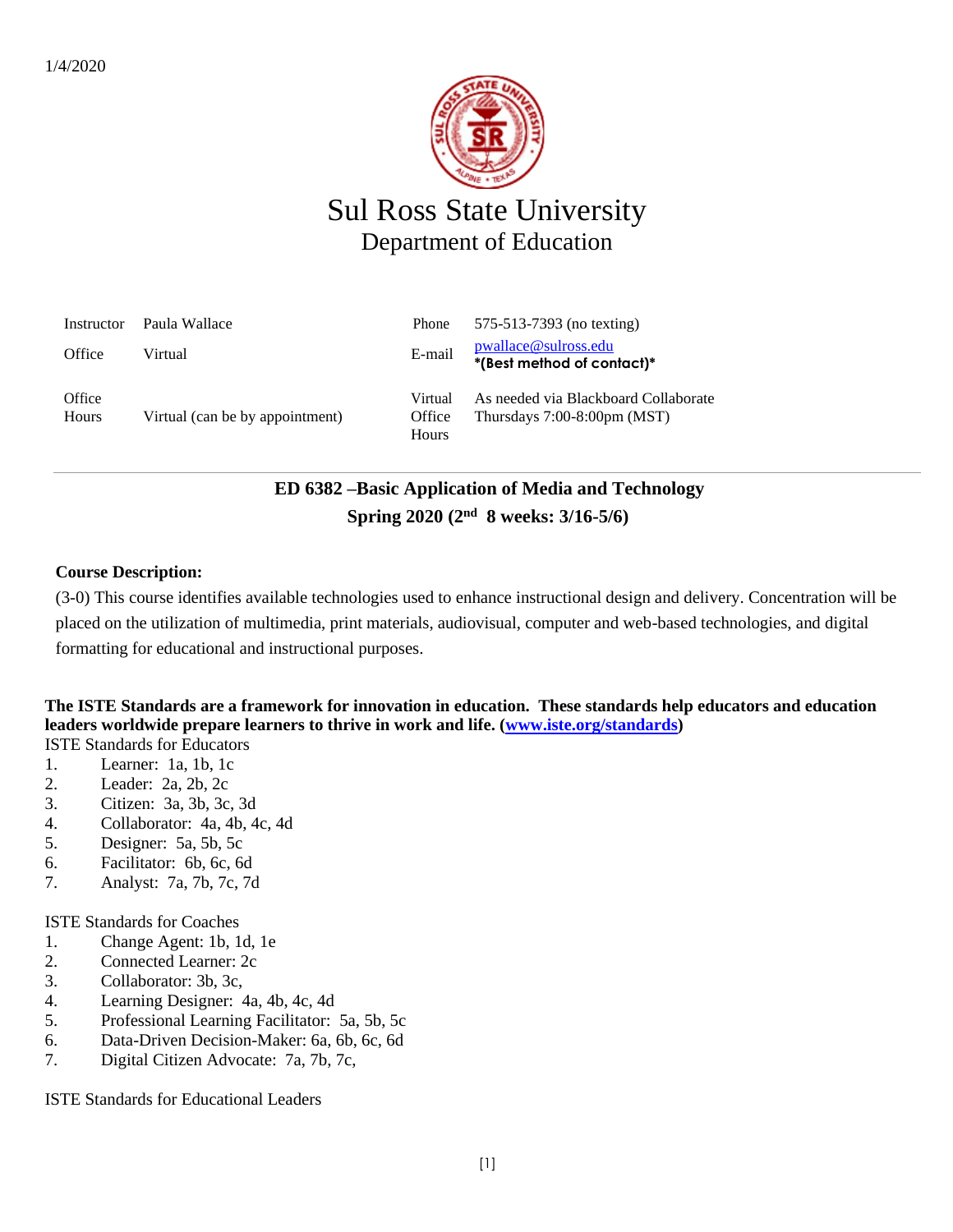

# Sul Ross State University Department of Education

| Instructor      | Paula Wallace                   | Phone                      | 575-513-7393 (no texting)                                                     |
|-----------------|---------------------------------|----------------------------|-------------------------------------------------------------------------------|
| Office          | Virtual                         | E-mail                     | pwallace@sulross.edu<br>*(Best method of contact)*                            |
| Office<br>Hours | Virtual (can be by appointment) | Virtual<br>Office<br>Hours | As needed via Blackboard Collaborate<br>Thursdays $7:00-8:00 \text{pm}$ (MST) |

# **ED 6382 –Basic Application of Media and Technology Spring 2020 (2 nd 8 weeks: 3/16-5/6)**

### **Course Description:**

(3-0) This course identifies available technologies used to enhance instructional design and delivery. Concentration will be placed on the utilization of multimedia, print materials, audiovisual, computer and web-based technologies, and digital formatting for educational and instructional purposes.

#### **The ISTE Standards are a framework for innovation in education. These standards help educators and education leaders worldwide prepare learners to thrive in work and life. [\(www.iste.org/standards\)](http://www.iste.org/standards)** ISTE Standards for Educators

- 1. Learner: 1a, 1b, 1c
- 2. Leader: 2a, 2b, 2c
- 3. Citizen: 3a, 3b, 3c, 3d
- 4. Collaborator: 4a, 4b, 4c, 4d
- 5. Designer: 5a, 5b, 5c
- 6. Facilitator: 6b, 6c, 6d
- 7. Analyst: 7a, 7b, 7c, 7d

ISTE Standards for Coaches

- 1. Change Agent: 1b, 1d, 1e
- 2. Connected Learner: 2c
- 3. Collaborator: 3b, 3c,
- 4. Learning Designer: 4a, 4b, 4c, 4d
- 5. Professional Learning Facilitator: 5a, 5b, 5c
- 6. Data-Driven Decision-Maker: 6a, 6b, 6c, 6d
- 7. Digital Citizen Advocate: 7a, 7b, 7c,

ISTE Standards for Educational Leaders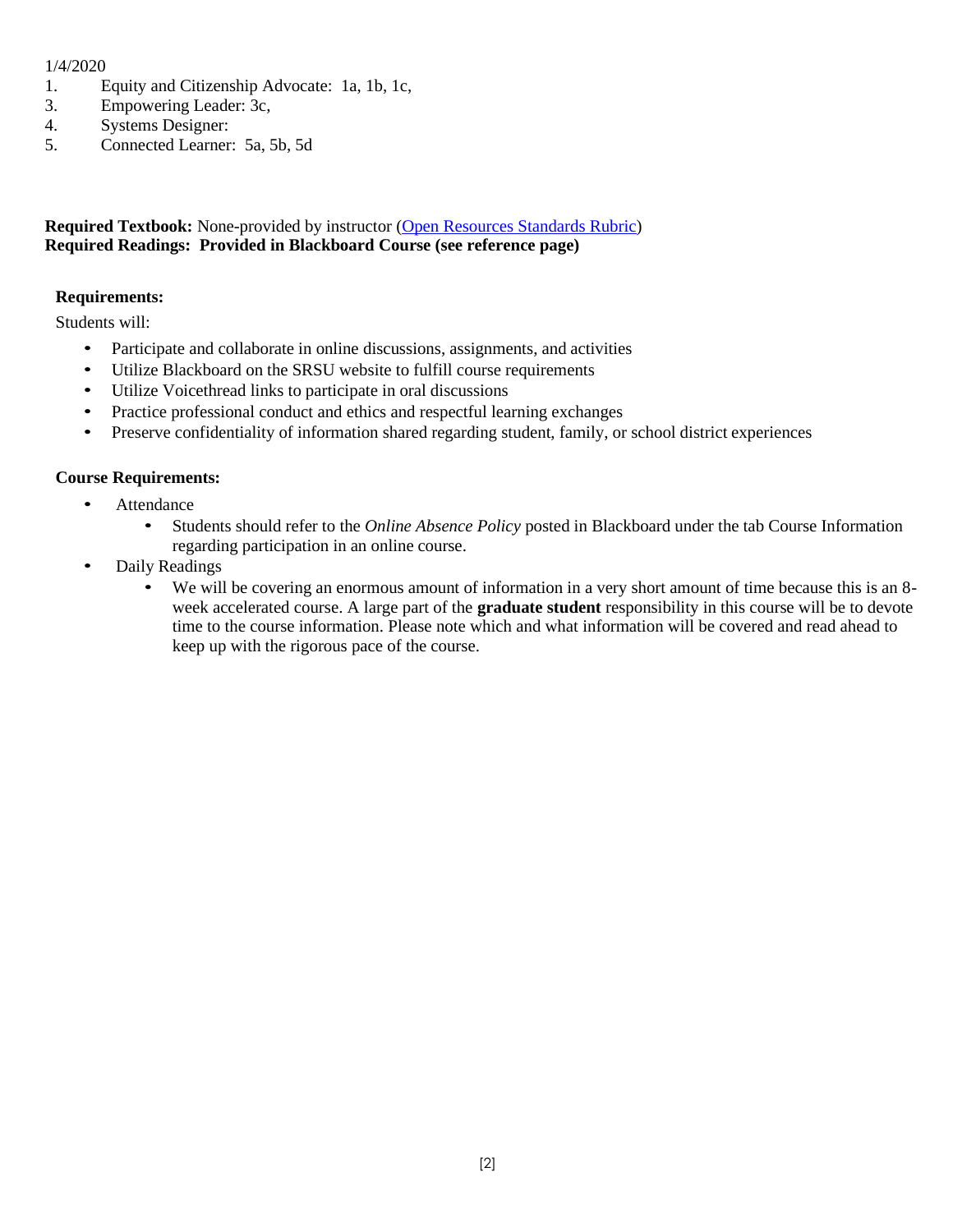### 1/4/2020

- 1. Equity and Citizenship Advocate: 1a, 1b, 1c,
- 3. Empowering Leader: 3c,
- 4. Systems Designer:
- 5. Connected Learner: 5a, 5b, 5d

### **Required Textbook:** None-provided by instructor [\(Open Resources Standards Rubric\)](https://www.achieve.org/files/AchieveOERRubrics.pdf) **Required Readings: Provided in Blackboard Course (see reference page)**

### **Requirements:**

Students will:

- Participate and collaborate in online discussions, assignments, and activities
- Utilize Blackboard on the SRSU website to fulfill course requirements
- Utilize Voicethread links to participate in oral discussions
- Practice professional conduct and ethics and respectful learning exchanges
- Preserve confidentiality of information shared regarding student, family, or school district experiences

### **Course Requirements:**

- Attendance
	- Students should refer to the *Online Absence Policy* posted in Blackboard under the tab Course Information regarding participation in an online course.
- Daily Readings
	- We will be covering an enormous amount of information in a very short amount of time because this is an 8 week accelerated course. A large part of the **graduate student** responsibility in this course will be to devote time to the course information. Please note which and what information will be covered and read ahead to keep up with the rigorous pace of the course.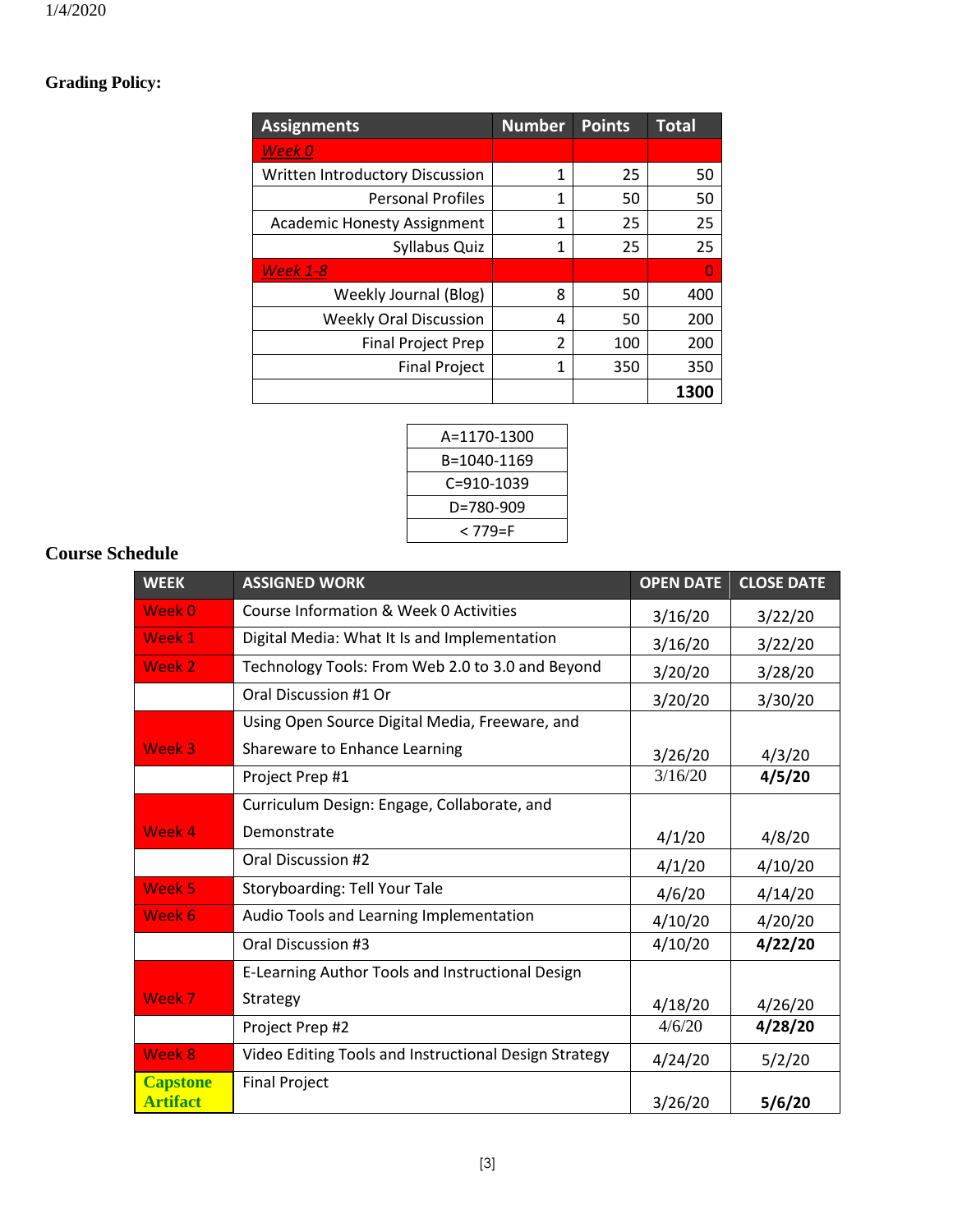# **Grading Policy:**

| <b>Assignments</b>                 | <b>Number</b> | <b>Points</b> | <b>Total</b> |
|------------------------------------|---------------|---------------|--------------|
| Week 0                             |               |               |              |
| Written Introductory Discussion    | 1             | 25            | 50           |
| <b>Personal Profiles</b>           | 1             | 50            | 50           |
| <b>Academic Honesty Assignment</b> | 1             | 25            | 25           |
| Syllabus Quiz                      | 1             | 25            | 25           |
| <b>Week 1-8</b>                    |               |               | n            |
| Weekly Journal (Blog)              | 8             | 50            | 400          |
| <b>Weekly Oral Discussion</b>      | 4             | 50            | 200          |
| <b>Final Project Prep</b>          | $\mathfrak z$ | 100           | 200          |
| <b>Final Project</b>               | 1             | 350           | 350          |
|                                    |               |               | 1300         |

| A=1170-1300 |  |
|-------------|--|
| B=1040-1169 |  |
| C=910-1039  |  |
| D=780-909   |  |
| < 779=F     |  |
|             |  |

### **Course Schedule**

| <b>WEEK</b>                        | <b>ASSIGNED WORK</b>                                  | <b>OPEN DATE</b> | <b>CLOSE DATE</b> |
|------------------------------------|-------------------------------------------------------|------------------|-------------------|
| Week 0                             | Course Information & Week 0 Activities                | 3/16/20          | 3/22/20           |
| Week 1                             | Digital Media: What It Is and Implementation          | 3/16/20          | 3/22/20           |
| Week 2                             | Technology Tools: From Web 2.0 to 3.0 and Beyond      | 3/20/20          | 3/28/20           |
|                                    | Oral Discussion #1 Or                                 | 3/20/20          | 3/30/20           |
|                                    | Using Open Source Digital Media, Freeware, and        |                  |                   |
| Week 3                             | Shareware to Enhance Learning                         | 3/26/20          | 4/3/20            |
|                                    | Project Prep #1                                       | 3/16/20          | 4/5/20            |
|                                    | Curriculum Design: Engage, Collaborate, and           |                  |                   |
| Week 4                             | Demonstrate                                           | 4/1/20           | 4/8/20            |
|                                    | Oral Discussion #2                                    | 4/1/20           | 4/10/20           |
| Week 5                             | Storyboarding: Tell Your Tale                         | 4/6/20           | 4/14/20           |
| Week 6                             | Audio Tools and Learning Implementation               | 4/10/20          | 4/20/20           |
|                                    | Oral Discussion #3                                    | 4/10/20          | 4/22/20           |
|                                    | E-Learning Author Tools and Instructional Design      |                  |                   |
| Week 7                             | Strategy                                              | 4/18/20          | 4/26/20           |
|                                    | Project Prep #2                                       | 4/6/20           | 4/28/20           |
| Week 8                             | Video Editing Tools and Instructional Design Strategy | 4/24/20          | 5/2/20            |
| <b>Capstone</b><br><b>Artifact</b> | <b>Final Project</b>                                  | 3/26/20          | 5/6/20            |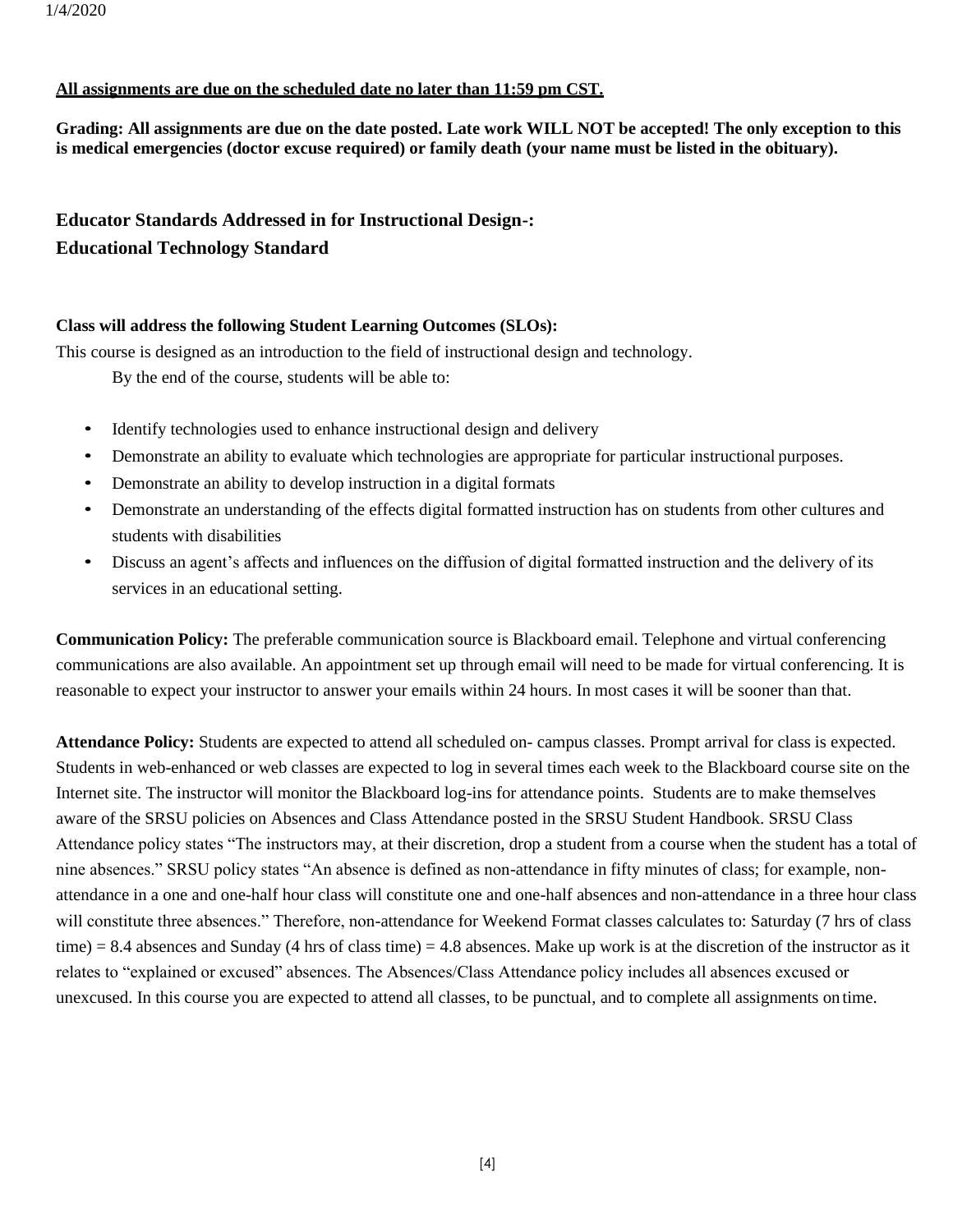### **All assignments are due on the scheduled date no later than 11:59 pm CST.**

**Grading: All assignments are due on the date posted. Late work WILL NOT be accepted! The only exception to this is medical emergencies (doctor excuse required) or family death (your name must be listed in the obituary).**

### **Educator Standards Addressed in for Instructional Design-: Educational Technology Standard**

### **Class will address the following Student Learning Outcomes (SLOs):**

This course is designed as an introduction to the field of instructional design and technology.

By the end of the course, students will be able to:

- Identify technologies used to enhance instructional design and delivery
- Demonstrate an ability to evaluate which technologies are appropriate for particular instructional purposes.
- Demonstrate an ability to develop instruction in a digital formats
- Demonstrate an understanding of the effects digital formatted instruction has on students from other cultures and students with disabilities
- Discuss an agent's affects and influences on the diffusion of digital formatted instruction and the delivery of its services in an educational setting.

**Communication Policy:** The preferable communication source is Blackboard email. Telephone and virtual conferencing communications are also available. An appointment set up through email will need to be made for virtual conferencing. It is reasonable to expect your instructor to answer your emails within 24 hours. In most cases it will be sooner than that.

**Attendance Policy:** Students are expected to attend all scheduled on- campus classes. Prompt arrival for class is expected. Students in web-enhanced or web classes are expected to log in several times each week to the Blackboard course site on the Internet site. The instructor will monitor the Blackboard log-ins for attendance points. Students are to make themselves aware of the SRSU policies on Absences and Class Attendance posted in the SRSU Student Handbook. SRSU Class Attendance policy states "The instructors may, at their discretion, drop a student from a course when the student has a total of nine absences." SRSU policy states "An absence is defined as non-attendance in fifty minutes of class; for example, nonattendance in a one and one-half hour class will constitute one and one-half absences and non-attendance in a three hour class will constitute three absences." Therefore, non-attendance for Weekend Format classes calculates to: Saturday (7 hrs of class time) = 8.4 absences and Sunday (4 hrs of class time) = 4.8 absences. Make up work is at the discretion of the instructor as it relates to "explained or excused" absences. The Absences/Class Attendance policy includes all absences excused or unexcused. In this course you are expected to attend all classes, to be punctual, and to complete all assignments on time.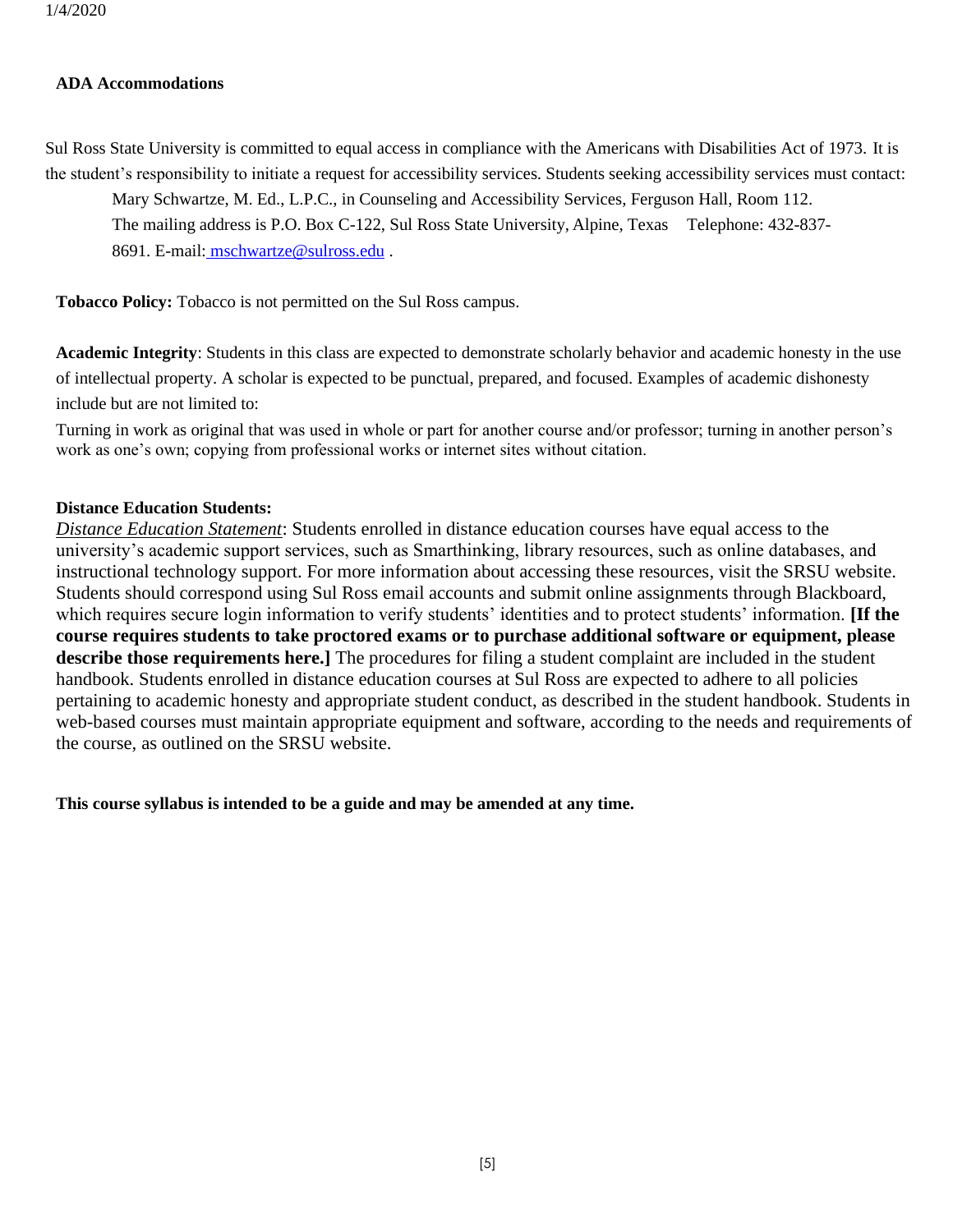#### **ADA Accommodations**

Sul Ross State University is committed to equal access in compliance with the Americans with Disabilities Act of 1973. It is the student's responsibility to initiate a request for accessibility services. Students seeking accessibility services must contact:

Mary Schwartze, M. Ed., L.P.C., in Counseling and Accessibility Services, Ferguson Hall, Room 112.

The mailing address is P.O. Box C-122, Sul Ross State University, Alpine, Texas Telephone: 432-837-

8691. E-mail: [mschwartze@sulross.edu](mailto:%20%20mschwartze@sulross.edu) .

**Tobacco Policy:** Tobacco is not permitted on the Sul Ross campus.

**Academic Integrity**: Students in this class are expected to demonstrate scholarly behavior and academic honesty in the use of intellectual property. A scholar is expected to be punctual, prepared, and focused. Examples of academic dishonesty include but are not limited to:

Turning in work as original that was used in whole or part for another course and/or professor; turning in another person's work as one's own; copying from professional works or internet sites without citation.

### **Distance Education Students:**

*Distance Education Statement*: Students enrolled in distance education courses have equal access to the university's academic support services, such as Smarthinking, library resources, such as online databases, and instructional technology support. For more information about accessing these resources, visit the SRSU website. Students should correspond using Sul Ross email accounts and submit online assignments through Blackboard, which requires secure login information to verify students' identities and to protect students' information. **[If the course requires students to take proctored exams or to purchase additional software or equipment, please describe those requirements here.]** The procedures for filing a student complaint are included in the student handbook. Students enrolled in distance education courses at Sul Ross are expected to adhere to all policies pertaining to academic honesty and appropriate student conduct, as described in the student handbook. Students in web-based courses must maintain appropriate equipment and software, according to the needs and requirements of the course, as outlined on the SRSU website.

**This course syllabus is intended to be a guide and may be amended at any time.**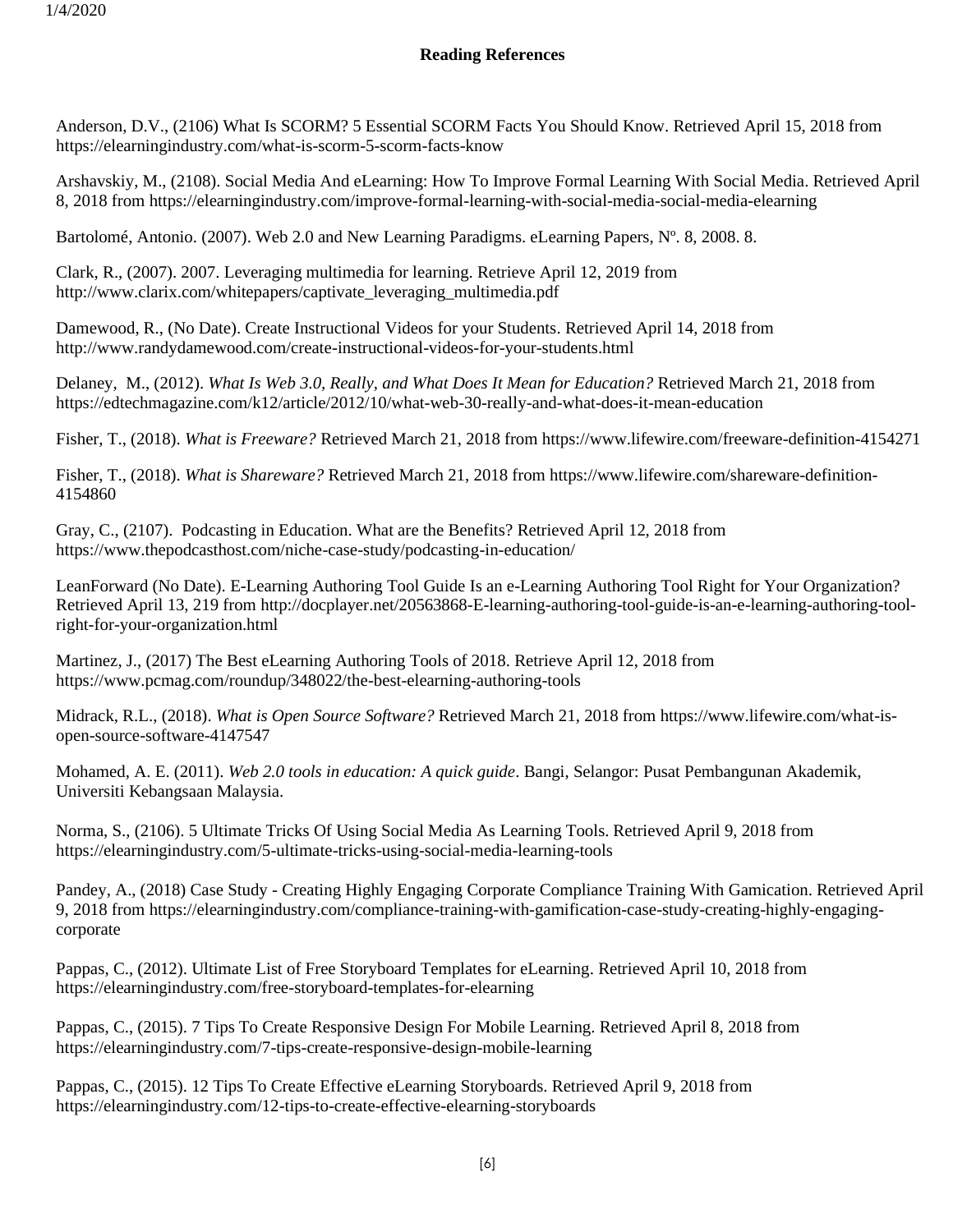### **Reading References**

Anderson, D.V., (2106) What Is SCORM? 5 Essential SCORM Facts You Should Know. Retrieved April 15, 2018 from https://elearningindustry.com/what-is-scorm-5-scorm-facts-know

Arshavskiy, M., (2108). Social Media And eLearning: How To Improve Formal Learning With Social Media. Retrieved April 8, 2018 from https://elearningindustry.com/improve-formal-learning-with-social-media-social-media-elearning

Bartolomé, Antonio. (2007). Web 2.0 and New Learning Paradigms. eLearning Papers, N°. 8, 2008. 8.

Clark, R., (2007). 2007. Leveraging multimedia for learning. Retrieve April 12, 2019 from http://www.clarix.com/whitepapers/captivate\_leveraging\_multimedia.pdf

Damewood, R., (No Date). Create Instructional Videos for your Students. Retrieved April 14, 2018 from http://www.randydamewood.com/create-instructional-videos-for-your-students.html

Delaney, M., (2012). *What Is Web 3.0, Really, and What Does It Mean for Education?* Retrieved March 21, 2018 from https://edtechmagazine.com/k12/article/2012/10/what-web-30-really-and-what-does-it-mean-education

Fisher, T., (2018). *What is Freeware?* Retrieved March 21, 2018 from https://www.lifewire.com/freeware-definition-4154271

Fisher, T., (2018). *What is Shareware?* Retrieved March 21, 2018 from https://www.lifewire.com/shareware-definition-4154860

Gray, C., (2107). Podcasting in Education. What are the Benefits? Retrieved April 12, 2018 from https://www.thepodcasthost.com/niche-case-study/podcasting-in-education/

LeanForward (No Date). E-Learning Authoring Tool Guide Is an e-Learning Authoring Tool Right for Your Organization? Retrieved April 13, 219 from http://docplayer.net/20563868-E-learning-authoring-tool-guide-is-an-e-learning-authoring-toolright-for-your-organization.html

Martinez, J., (2017) The Best eLearning Authoring Tools of 2018. Retrieve April 12, 2018 from https://www.pcmag.com/roundup/348022/the-best-elearning-authoring-tools

Midrack, R.L., (2018). *What is Open Source Software?* Retrieved March 21, 2018 from https://www.lifewire.com/what-isopen-source-software-4147547

Mohamed, A. E. (2011). *Web 2.0 tools in education: A quick guide*. Bangi, Selangor: Pusat Pembangunan Akademik, Universiti Kebangsaan Malaysia.

Norma, S., (2106). 5 Ultimate Tricks Of Using Social Media As Learning Tools. Retrieved April 9, 2018 from https://elearningindustry.com/5-ultimate-tricks-using-social-media-learning-tools

Pandey, A., (2018) Case Study - Creating Highly Engaging Corporate Compliance Training With Gamication. Retrieved April 9, 2018 from https://elearningindustry.com/compliance-training-with-gamification-case-study-creating-highly-engagingcorporate

Pappas, C., (2012). Ultimate List of Free Storyboard Templates for eLearning. Retrieved April 10, 2018 from https://elearningindustry.com/free-storyboard-templates-for-elearning

Pappas, C., (2015). 7 Tips To Create Responsive Design For Mobile Learning. Retrieved April 8, 2018 from https://elearningindustry.com/7-tips-create-responsive-design-mobile-learning

Pappas, C., (2015). 12 Tips To Create Effective eLearning Storyboards. Retrieved April 9, 2018 from https://elearningindustry.com/12-tips-to-create-effective-elearning-storyboards